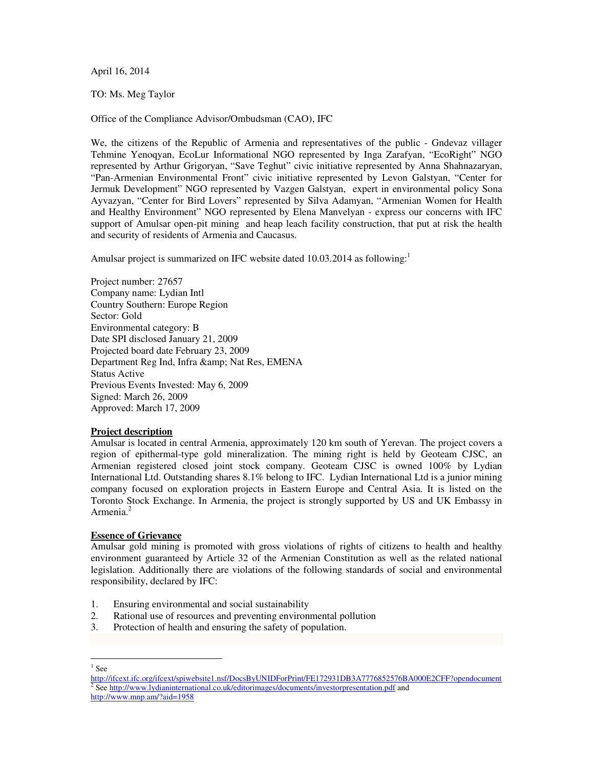April 16, 2014

TO: Ms. Meg Taylor

Office of the Compliance Advisor/Ombudsman (CAO), IFC

We, the citizens of the Republic of Armenia and representatives of the public - Gndevaz villager Tehmine Yenoqyan, EcoLur Informational NGO represented by Inga Zarafyan, "EcoRight" NGO represented by Arthur Grigoryan, "Save Teghut" civic initiative represented by Anna Shahnazaryan, "Pan-Armenian Environmental Front" civic initiative represented by Levon Galstyan, "Center for Jermuk Development" NGO represented by Vazgen Galstyan, expert in environmental policy Sona Ayvazyan, "Center for Bird Lovers" represented by Silva Adamyan, "Armenian Women for Health and Healthy Environment" NGO represented by Elena Manvelyan - express our concerns with IFC support of Amulsar open-pit mining and heap leach facility construction, that put at risk the health and security of residents of Armenia and Caucasus.

Amulsar project is summarized on IFC website dated 10.03.2014 as following:<sup>1</sup>

Project number: 27657 Company name: Lydian Intl Country Southern: Europe Region Sector: Gold Environmental category: B Date SPI disclosed January 21, 2009 Projected board date February 23, 2009 Department Reg Ind, Infra & amp; Nat Res, EMENA Status Active Previous Events Invested: May 6, 2009 Signed: March 26, 2009 Approved: March 17, 2009

# **Project description**

Amulsar is located in central Armenia, approximately 120 km south of Yerevan. The project covers a region of epithermal-type gold mineralization. The mining right is held by Geoteam CJSC, an Armenian registered closed joint stock company. Geoteam CJSC is owned 100% by Lydian International Ltd. Outstanding shares 8.1% belong to IFC. Lydian International Ltd is a junior mining company focused on exploration projects in Eastern Europe and Central Asia. It is listed on the Toronto Stock Exchange. In Armenia, the project is strongly supported by US and UK Embassy in Armenia.<sup>2</sup>

# **Essence of Grievance**

Amulsar gold mining is promoted with gross violations of rights of citizens to health and healthy environment guaranteed by Article 32 of the Armenian Constitution as well as the related national legislation. Additionally there are violations of the following standards of social and environmental responsibility, declared by IFC:

- 1. Ensuring environmental and social sustainability
- 2. Rational use of resources and preventing environmental pollution
- 3. Protection of health and ensuring the safety of population.

 $\frac{1}{1}$  See

http://ifcext.ifc.org/ifcext/spiwebsite1.nsf/DocsByUNIDForPrint/FE172931DB3A7776852576BA000E2CFF?opendocument <sup>2</sup> See http://www.lydianinternational.co.uk/editorimages/documents/investorpresentation.pdf and http://www.mnp.am/?aid=1958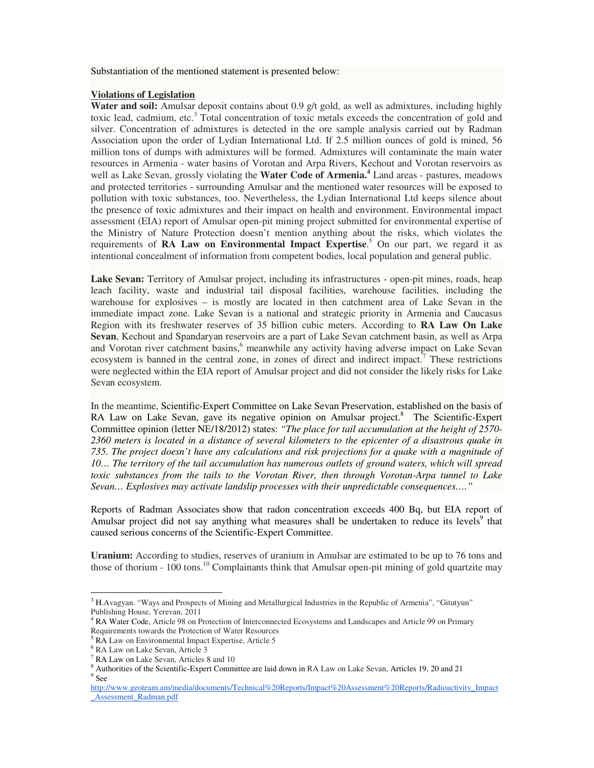Substantiation of the mentioned statement is presented below:

### **Violations of Legislation**

**Water and soil:** Amulsar deposit contains about 0.9 g/t gold, as well as admixtures, including highly toxic lead, cadmium, etc.<sup>3</sup> Total concentration of toxic metals exceeds the concentration of gold and silver. Concentration of admixtures is detected in the ore sample analysis carried out by Radman Association upon the order of Lydian International Ltd. If 2.5 million ounces of gold is mined, 56 million tons of dumps with admixtures will be formed. Admixtures will contaminate the main water resources in Armenia - water basins of Vorotan and Arpa Rivers, Kechout and Vorotan reservoirs as well as Lake Sevan, grossly violating the **Water Code of Armenia.<sup>4</sup>** Land areas - pastures, meadows and protected territories - surrounding Amulsar and the mentioned water resources will be exposed to pollution with toxic substances, too. Nevertheless, the Lydian International Ltd keeps silence about the presence of toxic admixtures and their impact on health and environment. Environmental impact assessment (EIA) report of Amulsar open-pit mining project submitted for environmental expertise of the Ministry of Nature Protection doesn't mention anything about the risks, which violates the requirements of **RA Law on Environmental Impact Expertise**. 5 On our part, we regard it as intentional concealment of information from competent bodies, local population and general public.

**Lake Sevan:** Territory of Amulsar project, including its infrastructures - open-pit mines, roads, heap leach facility, waste and industrial tail disposal facilities, warehouse facilities, including the warehouse for explosives – is mostly are located in then catchment area of Lake Sevan in the immediate impact zone. Lake Sevan is a national and strategic priority in Armenia and Caucasus Region with its freshwater reserves of 35 billion cubic meters. According to **RA Law On Lake Sevan**, Kechout and Spandaryan reservoirs are a part of Lake Sevan catchment basin, as well as Arpa and Vorotan river catchment basins,<sup>6</sup> meanwhile any activity having adverse impact on Lake Sevan ecosystem is banned in the central zone, in zones of direct and indirect impact.<sup>7</sup> These restrictions were neglected within the EIA report of Amulsar project and did not consider the likely risks for Lake Sevan ecosystem.

In the meantime, Scientific-Expert Committee on Lake Sevan Preservation, established on the basis of RA Law on Lake Sevan, gave its negative opinion on Amulsar project.<sup>8</sup> The Scientific-Expert Committee opinion (letter NЕ/18/2012) states: *"The place for tail accumulation at the height of 2570- 2360 meters is located in a distance of several kilometers to the epicenter of a disastrous quake in 735. The project doesn't have any calculations and risk projections for a quake with a magnitude of 10… The territory of the tail accumulation has numerous outlets of ground waters, which will spread toxic substances from the tails to the Vorotan River, then through Vorotan-Arpa tunnel to Lake Sevan… Explosives may activate landslip processes with their unpredictable consequences…."* 

Reports of Radman Associates show that radon concentration exceeds 400 Bq, but EIA report of Amulsar project did not say anything what measures shall be undertaken to reduce its levels<sup>9</sup> that caused serious concerns of the Scientific-Expert Committee.

**Uranium:** According to studies, reserves of uranium in Amulsar are estimated to be up to 76 tons and those of thorium - 100 tons.<sup>10</sup> Complainants think that Amulsar open-pit mining of gold quartzite may

-

<sup>&</sup>lt;sup>3</sup> H.Avagyan. "Ways and Prospects of Mining and Metallurgical Industries in the Republic of Armenia", "Gitutyun" Publishing House, Yerevan, 2011

<sup>&</sup>lt;sup>4</sup> RA Water Code, Article 98 on Protection of Interconnected Ecosystems and Landscapes and Article 99 on Primary Requirements towards the Protection of Water Resources

<sup>5</sup> RA Law on Environmental Impact Expertise, Article 5

<sup>6</sup> RA Law on Lake Sevan, Article 3

<sup>&</sup>lt;sup>7</sup> RA Law on Lake Sevan, Articles 8 and 10

<sup>&</sup>lt;sup>8</sup> Authorities of the Scientific-Expert Committee are laid down in RA Law on Lake Sevan, Articles 19, 20 and 21 9 See

http://www.geoteam.am/media/documents/Technical%20Reports/Impact%20Assessment%20Reports/Radioactivity\_Impact \_Assessment\_Radman.pdf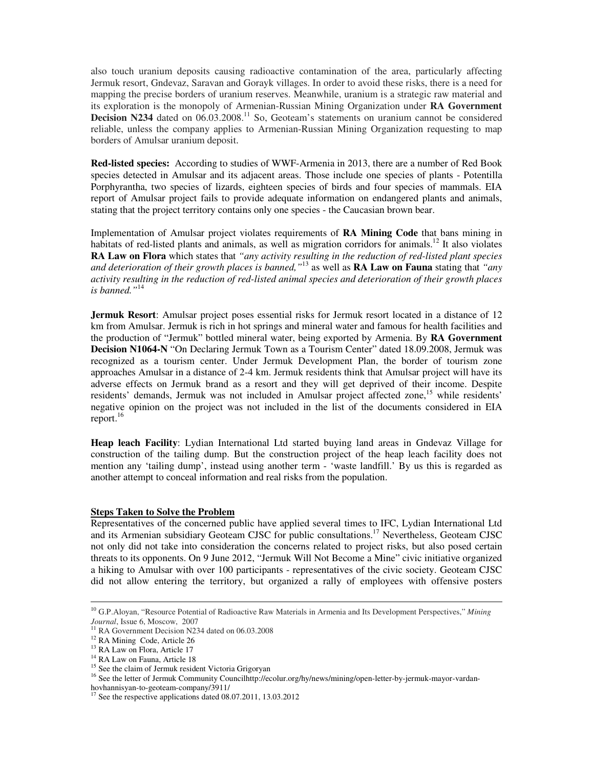also touch uranium deposits causing radioactive contamination of the area, particularly affecting Jermuk resort, Gndevaz, Saravan and Gorayk villages. In order to avoid these risks, there is a need for mapping the precise borders of uranium reserves. Meanwhile, uranium is a strategic raw material and its exploration is the monopoly of Armenian-Russian Mining Organization under **RA Government Decision N234** dated on 06.03.2008.<sup>11</sup> So, Geoteam's statements on uranium cannot be considered reliable, unless the company applies to Armenian-Russian Mining Organization requesting to map borders of Amulsar uranium deposit.

**Red-listed species:** According to studies of WWF-Armenia in 2013, there are a number of Red Book species detected in Amulsar and its adjacent areas. Those include one species of plants - Potentilla Porphyrantha, two species of lizards, eighteen species of birds and four species of mammals. EIA report of Amulsar project fails to provide adequate information on endangered plants and animals, stating that the project territory contains only one species - the Caucasian brown bear.

Implementation of Amulsar project violates requirements of **RA Mining Code** that bans mining in habitats of red-listed plants and animals, as well as migration corridors for animals.<sup>12</sup> It also violates **RA Law on Flora** which states that *"any activity resulting in the reduction of red-listed plant species and deterioration of their growth places is banned,"* <sup>13</sup> as well as **RA Law on Fauna** stating that *"any activity resulting in the reduction of red-listed animal species and deterioration of their growth places is banned."*<sup>14</sup>

**Jermuk Resort**: Amulsar project poses essential risks for Jermuk resort located in a distance of 12 km from Amulsar. Jermuk is rich in hot springs and mineral water and famous for health facilities and the production of "Jermuk" bottled mineral water, being exported by Armenia. By **RA Government Decision N1064-N** "On Declaring Jermuk Town as a Tourism Center" dated 18.09.2008, Jermuk was recognized as a tourism center. Under Jermuk Development Plan, the border of tourism zone approaches Amulsar in a distance of 2-4 km. Jermuk residents think that Amulsar project will have its adverse effects on Jermuk brand as a resort and they will get deprived of their income. Despite residents' demands, Jermuk was not included in Amulsar project affected zone,<sup>15</sup> while residents' negative opinion on the project was not included in the list of the documents considered in EIA report. $16$ 

**Heap leach Facility**: Lydian International Ltd started buying land areas in Gndevaz Village for construction of the tailing dump. But the construction project of the heap leach facility does not mention any 'tailing dump', instead using another term - 'waste landfill.' By us this is regarded as another attempt to conceal information and real risks from the population.

### **Steps Taken to Solve the Problem**

Representatives of the concerned public have applied several times to IFC, Lydian International Ltd and its Armenian subsidiary Geoteam CJSC for public consultations.<sup>17</sup> Nevertheless, Geoteam CJSC not only did not take into consideration the concerns related to project risks, but also posed certain threats to its opponents. On 9 June 2012, "Jermuk Will Not Become a Mine" civic initiative organized a hiking to Amulsar with over 100 participants - representatives of the civic society. Geoteam CJSC did not allow entering the territory, but organized a rally of employees with offensive posters

 $\overline{a}$ 

<sup>10</sup> G.P.Aloyan, "Resource Potential of Radioactive Raw Materials in Armenia and Its Development Perspectives," *Mining Journal*, Issue 6, Moscow, 2007

<sup>&</sup>lt;sup>11</sup> RA Government Decision N234 dated on 06.03.2008

<sup>&</sup>lt;sup>12</sup> RA Mining Code, Article 26

<sup>&</sup>lt;sup>13</sup> RA Law on Flora, Article 17

<sup>&</sup>lt;sup>14</sup> RA Law on Fauna, Article 18

<sup>&</sup>lt;sup>15</sup> See the claim of Jermuk resident Victoria Grigoryan

<sup>&</sup>lt;sup>16</sup> See the letter of Jermuk Community Councilhttp://ecolur.org/hy/news/mining/open-letter-by-jermuk-mayor-vardan-

hovhannisyan-to-geoteam-company/3911/

<sup>&</sup>lt;sup>17</sup> See the respective applications dated  $08.07.2011$ , 13.03.2012